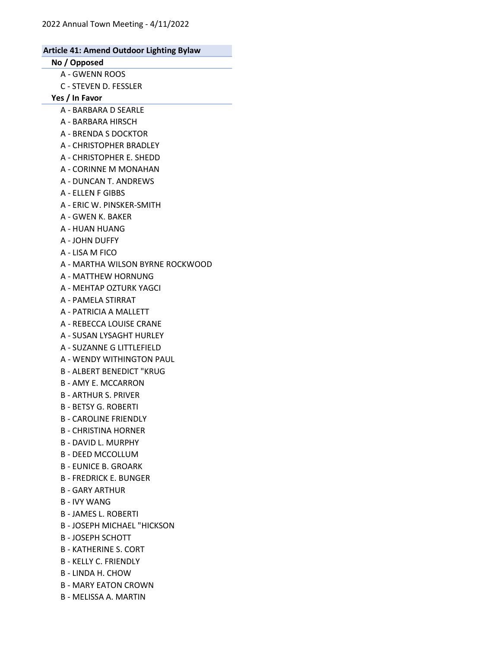# No / Opposed

- A GWENN ROOS
- C STEVEN D. FESSLER

### Yes / In Favor

- A BARBARA D SEARLE
- A BARBARA HIRSCH
- A BRENDA S DOCKTOR
- A CHRISTOPHER BRADLEY
- A CHRISTOPHER E. SHEDD
- A CORINNE M MONAHAN
- A DUNCAN T. ANDREWS
- A ELLEN F GIBBS
- A ERIC W. PINSKER-SMITH
- A GWEN K. BAKER
- A HUAN HUANG
- A JOHN DUFFY
- A LISA M FICO
- A MARTHA WILSON BYRNE ROCKWOOD
- A MATTHEW HORNUNG
- A MEHTAP OZTURK YAGCI
- A PAMELA STIRRAT
- A PATRICIA A MALLETT
- A REBECCA LOUISE CRANE
- A SUSAN LYSAGHT HURLEY
- A SUZANNE G LITTLEFIELD
- A WENDY WITHINGTON PAUL
- B ALBERT BENEDICT "KRUG
- B AMY E. MCCARRON
- B ARTHUR S. PRIVER
- B BETSY G. ROBERTI
- B CAROLINE FRIENDLY
- B CHRISTINA HORNER
- B DAVID L. MURPHY
- B DEED MCCOLLUM
- B EUNICE B. GROARK
- B FREDRICK E. BUNGER
- B GARY ARTHUR
- B IVY WANG
- B JAMES L. ROBERTI
- B JOSEPH MICHAEL "HICKSON
- B JOSEPH SCHOTT
- B KATHERINE S. CORT
- B KELLY C. FRIENDLY
- B LINDA H. CHOW
- B MARY EATON CROWN
- B MELISSA A. MARTIN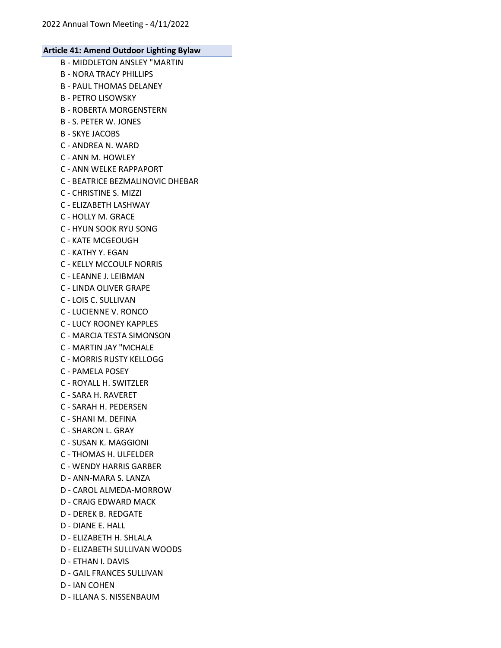- B MIDDLETON ANSLEY "MARTIN B - NORA TRACY PHILLIPS
- B PAUL THOMAS DELANEY
- B PETRO LISOWSKY
- B ROBERTA MORGENSTERN
- B S. PETER W. JONES
- B SKYE JACOBS
- C ANDREA N. WARD
- C ANN M. HOWLEY
- C ANN WELKE RAPPAPORT
- C BEATRICE BEZMALINOVIC DHEBAR
- C CHRISTINE S. MIZZI
- C ELIZABETH LASHWAY
- C HOLLY M. GRACE
- C HYUN SOOK RYU SONG
- C KATE MCGEOUGH
- C KATHY Y. EGAN
- C KELLY MCCOULF NORRIS
- C LEANNE J. LEIBMAN
- C LINDA OLIVER GRAPE
- C LOIS C. SULLIVAN
- C LUCIENNE V. RONCO
- C LUCY ROONEY KAPPLES
- C MARCIA TESTA SIMONSON
- C MARTIN JAY "MCHALE
- C MORRIS RUSTY KELLOGG
- C PAMELA POSEY
- C ROYALL H. SWITZLER
- C SARA H. RAVERET
- C SARAH H. PEDERSEN
- C SHANI M. DEFINA
- C SHARON L. GRAY
- C SUSAN K. MAGGIONI
- C THOMAS H. ULFELDER
- C WENDY HARRIS GARBER
- D ANN-MARA S. LANZA
- D CAROL ALMEDA-MORROW
- D CRAIG EDWARD MACK
- D DEREK B. REDGATE
- D DIANE E. HALL
- D ELIZABETH H. SHLALA
- D ELIZABETH SULLIVAN WOODS
- D ETHAN I. DAVIS
- D GAIL FRANCES SULLIVAN
- D IAN COHEN
- D ILLANA S. NISSENBAUM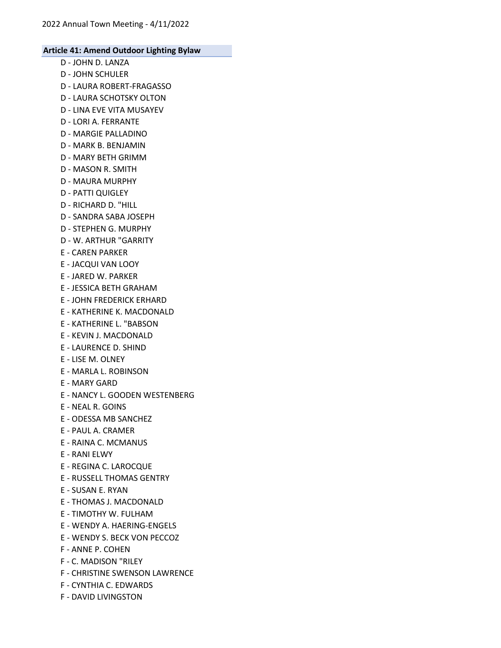- D JOHN D. LANZA
- D JOHN SCHULER
- D LAURA ROBERT-FRAGASSO
- D LAURA SCHOTSKY OLTON
- D LINA EVE VITA MUSAYEV
- D LORI A. FERRANTE
- D MARGIE PALLADINO
- D MARK B. BENJAMIN
- D MARY BETH GRIMM
- D MASON R. SMITH
- D MAURA MURPHY
- D PATTI QUIGLEY
- D RICHARD D. "HILL
- D SANDRA SABA JOSEPH
- D STEPHEN G. MURPHY
- D W. ARTHUR "GARRITY
- E CAREN PARKER
- E JACQUI VAN LOOY
- E JARED W. PARKER
- E JESSICA BETH GRAHAM
- E JOHN FREDERICK ERHARD
- E KATHERINE K. MACDONALD
- E KATHERINE L. "BABSON
- E KEVIN J. MACDONALD
- E LAURENCE D. SHIND
- E LISE M. OLNEY
- E MARLA L. ROBINSON
- E MARY GARD
- E NANCY L. GOODEN WESTENBERG
- E NEAL R. GOINS
- E ODESSA MB SANCHEZ
- E PAUL A. CRAMER
- E RAINA C. MCMANUS
- E RANI ELWY
- E REGINA C. LAROCQUE
- E RUSSELL THOMAS GENTRY
- E SUSAN E. RYAN
- E THOMAS J. MACDONALD
- E TIMOTHY W. FULHAM
- E WENDY A. HAERING-ENGELS
- E WENDY S. BECK VON PECCOZ
- F ANNE P. COHEN
- F C. MADISON "RILEY
- F CHRISTINE SWENSON LAWRENCE
- F CYNTHIA C. EDWARDS
- F DAVID LIVINGSTON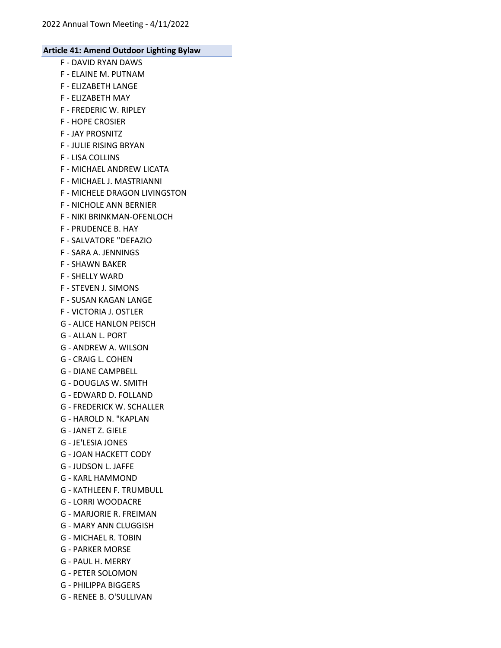- F DAVID RYAN DAWS
- F ELAINE M. PUTNAM
- F ELIZABETH LANGE
- F ELIZABETH MAY
- F FREDERIC W. RIPLEY
- F HOPE CROSIER
- F JAY PROSNITZ
- F JULIE RISING BRYAN
- F LISA COLLINS
- F MICHAEL ANDREW LICATA
- F MICHAEL J. MASTRIANNI
- F MICHELE DRAGON LIVINGSTON
- F NICHOLE ANN BERNIER
- F NIKI BRINKMAN-OFENLOCH
- F PRUDENCE B. HAY
- F SALVATORE "DEFAZIO
- F SARA A. JENNINGS
- F SHAWN BAKER
- F SHELLY WARD
- F STEVEN J. SIMONS
- F SUSAN KAGAN LANGE
- F VICTORIA J. OSTLER
- G ALICE HANLON PEISCH
- G ALLAN L. PORT
- G ANDREW A. WILSON
- G CRAIG L. COHEN
- G DIANE CAMPBELL
- G DOUGLAS W. SMITH
- G EDWARD D. FOLLAND
- G FREDERICK W. SCHALLER
- G HAROLD N. "KAPLAN
- G JANET Z. GIELE
- G JE'LESIA JONES
- G JOAN HACKETT CODY
- G JUDSON L. JAFFE
- G KARL HAMMOND
- G KATHLEEN F. TRUMBULL
- G LORRI WOODACRE
- G MARJORIE R. FREIMAN
- G MARY ANN CLUGGISH
- G MICHAEL R. TOBIN
- G PARKER MORSE
- G PAUL H. MERRY
- G PETER SOLOMON
- G PHILIPPA BIGGERS
- G RENEE B. O'SULLIVAN